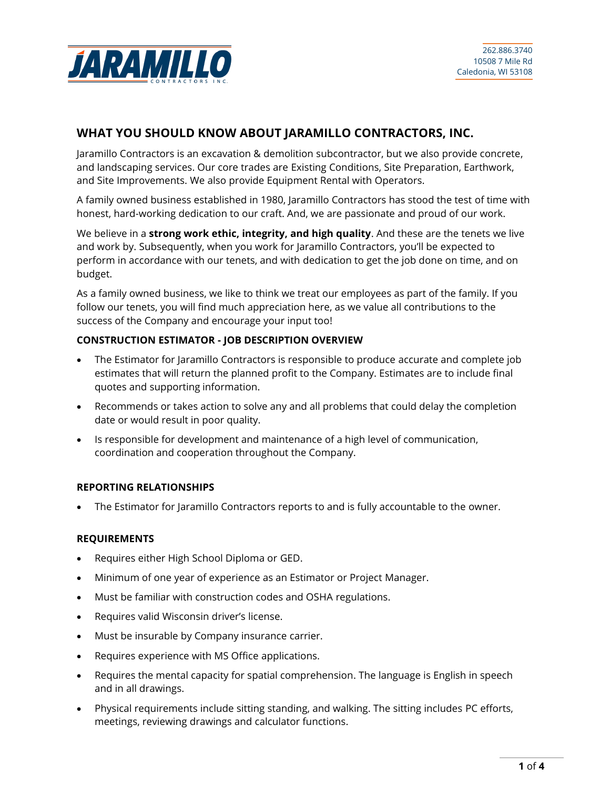

# **WHAT YOU SHOULD KNOW ABOUT JARAMILLO CONTRACTORS, INC.**

Jaramillo Contractors is an excavation & demolition subcontractor, but we also provide concrete, and landscaping services. Our core trades are Existing Conditions, Site Preparation, Earthwork, and Site Improvements. We also provide Equipment Rental with Operators.

A family owned business established in 1980, Jaramillo Contractors has stood the test of time with honest, hard-working dedication to our craft. And, we are passionate and proud of our work.

We believe in a **strong work ethic, integrity, and high quality**. And these are the tenets we live and work by. Subsequently, when you work for Jaramillo Contractors, you'll be expected to perform in accordance with our tenets, and with dedication to get the job done on time, and on budget.

As a family owned business, we like to think we treat our employees as part of the family. If you follow our tenets, you will find much appreciation here, as we value all contributions to the success of the Company and encourage your input too!

## **CONSTRUCTION ESTIMATOR - JOB DESCRIPTION OVERVIEW**

- The Estimator for Jaramillo Contractors is responsible to produce accurate and complete job estimates that will return the planned profit to the Company. Estimates are to include final quotes and supporting information.
- Recommends or takes action to solve any and all problems that could delay the completion date or would result in poor quality.
- Is responsible for development and maintenance of a high level of communication, coordination and cooperation throughout the Company.

## **REPORTING RELATIONSHIPS**

• The Estimator for Jaramillo Contractors reports to and is fully accountable to the owner.

## **REQUIREMENTS**

- Requires either High School Diploma or GED.
- Minimum of one year of experience as an Estimator or Project Manager.
- Must be familiar with construction codes and OSHA regulations.
- Requires valid Wisconsin driver's license.
- Must be insurable by Company insurance carrier.
- Requires experience with MS Office applications.
- Requires the mental capacity for spatial comprehension. The language is English in speech and in all drawings.
- Physical requirements include sitting standing, and walking. The sitting includes PC efforts, meetings, reviewing drawings and calculator functions.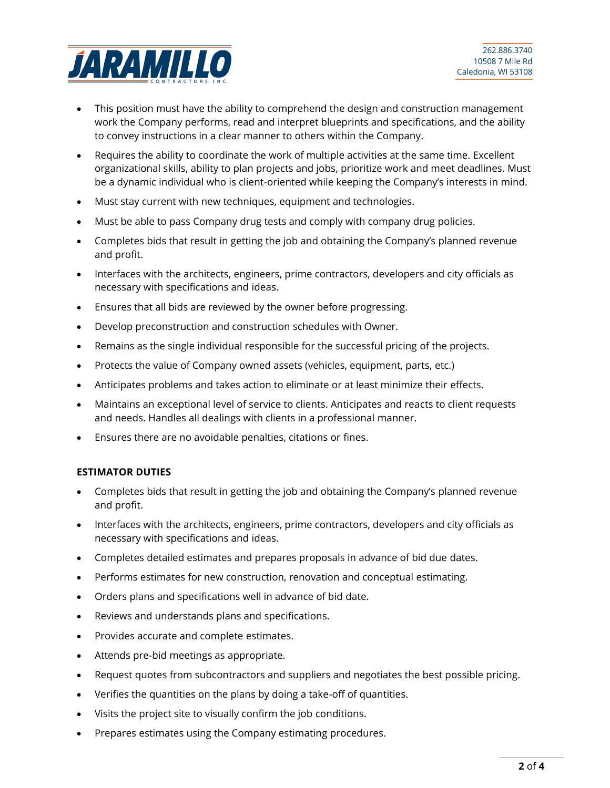

- This position must have the ability to comprehend the design and construction management work the Company performs, read and interpret blueprints and specifications, and the ability to convey instructions in a clear manner to others within the Company.
- Requires the ability to coordinate the work of multiple activities at the same time. Excellent organizational skills, ability to plan projects and jobs, prioritize work and meet deadlines. Must be a dynamic individual who is client-oriented while keeping the Company's interests in mind.
- Must stay current with new techniques, equipment and technologies.
- Must be able to pass Company drug tests and comply with company drug policies.
- Completes bids that result in getting the job and obtaining the Company's planned revenue and profit.
- Interfaces with the architects, engineers, prime contractors, developers and city officials as necessary with specifications and ideas.
- Ensures that all bids are reviewed by the owner before progressing.
- Develop preconstruction and construction schedules with Owner.
- Remains as the single individual responsible for the successful pricing of the projects.
- Protects the value of Company owned assets (vehicles, equipment, parts, etc.)
- Anticipates problems and takes action to eliminate or at least minimize their effects.
- Maintains an exceptional level of service to clients. Anticipates and reacts to client requests and needs. Handles all dealings with clients in a professional manner.
- Ensures there are no avoidable penalties, citations or fines.

## **ESTIMATOR DUTIES**

- Completes bids that result in getting the job and obtaining the Company's planned revenue and profit.
- Interfaces with the architects, engineers, prime contractors, developers and city officials as necessary with specifications and ideas.
- Completes detailed estimates and prepares proposals in advance of bid due dates.
- Performs estimates for new construction, renovation and conceptual estimating.
- Orders plans and specifications well in advance of bid date.
- Reviews and understands plans and specifications.
- Provides accurate and complete estimates.
- Attends pre-bid meetings as appropriate.
- Request quotes from subcontractors and suppliers and negotiates the best possible pricing.
- Verifies the quantities on the plans by doing a take-off of quantities.
- Visits the project site to visually confirm the job conditions.
- Prepares estimates using the Company estimating procedures.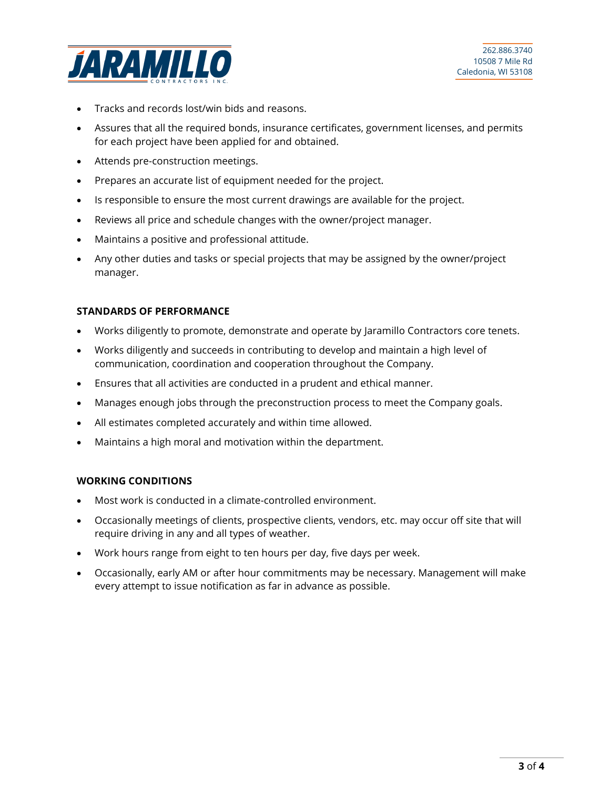

- Tracks and records lost/win bids and reasons.
- Assures that all the required bonds, insurance certificates, government licenses, and permits for each project have been applied for and obtained.
- Attends pre-construction meetings.
- Prepares an accurate list of equipment needed for the project.
- Is responsible to ensure the most current drawings are available for the project.
- Reviews all price and schedule changes with the owner/project manager.
- Maintains a positive and professional attitude.
- Any other duties and tasks or special projects that may be assigned by the owner/project manager.

#### **STANDARDS OF PERFORMANCE**

- Works diligently to promote, demonstrate and operate by Jaramillo Contractors core tenets.
- Works diligently and succeeds in contributing to develop and maintain a high level of communication, coordination and cooperation throughout the Company.
- Ensures that all activities are conducted in a prudent and ethical manner.
- Manages enough jobs through the preconstruction process to meet the Company goals.
- All estimates completed accurately and within time allowed.
- Maintains a high moral and motivation within the department.

#### **WORKING CONDITIONS**

- Most work is conducted in a climate-controlled environment.
- Occasionally meetings of clients, prospective clients, vendors, etc. may occur off site that will require driving in any and all types of weather.
- Work hours range from eight to ten hours per day, five days per week.
- Occasionally, early AM or after hour commitments may be necessary. Management will make every attempt to issue notification as far in advance as possible.